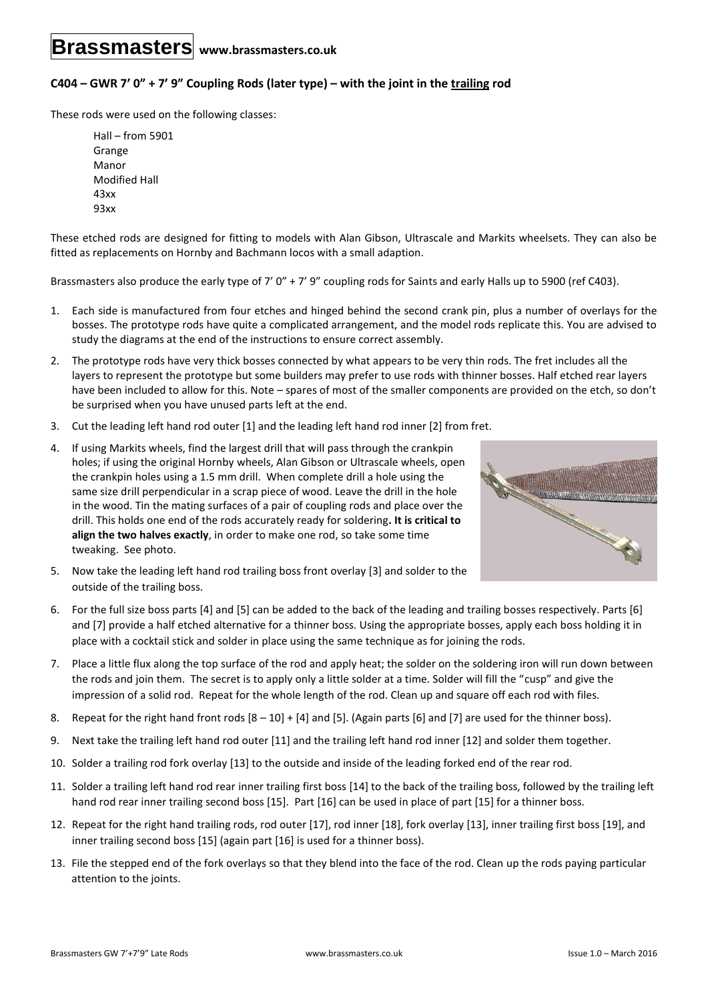## **Brassmasters www.brassmasters.co.uk**

## **C404 – GWR 7' 0" + 7' 9" Coupling Rods (later type) – with the joint in the trailing rod**

These rods were used on the following classes:

Hall – from 5901 Grange Manor Modified Hall 43xx 93xx

These etched rods are designed for fitting to models with Alan Gibson, Ultrascale and Markits wheelsets. They can also be fitted as replacements on Hornby and Bachmann locos with a small adaption.

Brassmasters also produce the early type of 7' 0" + 7' 9" coupling rods for Saints and early Halls up to 5900 (ref C403).

- 1. Each side is manufactured from four etches and hinged behind the second crank pin, plus a number of overlays for the bosses. The prototype rods have quite a complicated arrangement, and the model rods replicate this. You are advised to study the diagrams at the end of the instructions to ensure correct assembly.
- 2. The prototype rods have very thick bosses connected by what appears to be very thin rods. The fret includes all the layers to represent the prototype but some builders may prefer to use rods with thinner bosses. Half etched rear layers have been included to allow for this. Note – spares of most of the smaller components are provided on the etch, so don't be surprised when you have unused parts left at the end.
- 3. Cut the leading left hand rod outer [1] and the leading left hand rod inner [2] from fret.
- 4. If using Markits wheels, find the largest drill that will pass through the crankpin holes; if using the original Hornby wheels, Alan Gibson or Ultrascale wheels, open the crankpin holes using a 1.5 mm drill. When complete drill a hole using the same size drill perpendicular in a scrap piece of wood. Leave the drill in the hole in the wood. Tin the mating surfaces of a pair of coupling rods and place over the drill. This holds one end of the rods accurately ready for soldering**. It is critical to align the two halves exactly**, in order to make one rod, so take some time tweaking. See photo.



- 5. Now take the leading left hand rod trailing boss front overlay [3] and solder to the outside of the trailing boss.
- 6. For the full size boss parts [4] and [5] can be added to the back of the leading and trailing bosses respectively. Parts [6] and [7] provide a half etched alternative for a thinner boss. Using the appropriate bosses, apply each boss holding it in place with a cocktail stick and solder in place using the same technique as for joining the rods.
- 7. Place a little flux along the top surface of the rod and apply heat; the solder on the soldering iron will run down between the rods and join them. The secret is to apply only a little solder at a time. Solder will fill the "cusp" and give the impression of a solid rod. Repeat for the whole length of the rod. Clean up and square off each rod with files.
- 8. Repeat for the right hand front rods  $[8 10] + [4]$  and  $[5]$ . (Again parts  $[6]$  and  $[7]$  are used for the thinner boss).
- 9. Next take the trailing left hand rod outer [11] and the trailing left hand rod inner [12] and solder them together.
- 10. Solder a trailing rod fork overlay [13] to the outside and inside of the leading forked end of the rear rod.
- 11. Solder a trailing left hand rod rear inner trailing first boss [14] to the back of the trailing boss, followed by the trailing left hand rod rear inner trailing second boss [15]. Part [16] can be used in place of part [15] for a thinner boss.
- 12. Repeat for the right hand trailing rods, rod outer [17], rod inner [18], fork overlay [13], inner trailing first boss [19], and inner trailing second boss [15] (again part [16] is used for a thinner boss).
- 13. File the stepped end of the fork overlays so that they blend into the face of the rod. Clean up the rods paying particular attention to the joints.